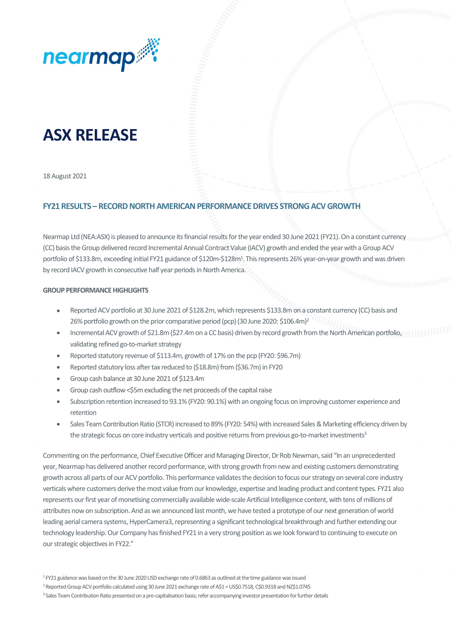

# **ASX RELEASE**

18 August 2021

## **FY21 RESULTS – RECORD NORTH AMERICAN PERFORMANCE DRIVES STRONG ACVGROWTH**

Nearmap Ltd (NEA:ASX) is pleased to announce its financial results for the year ended 30 June 2021 (FY21). On a constant currency (CC) basis the Group delivered record Incremental Annual Contract Value (IACV) growth and ended the year with a Group ACV portfolio of \$133.8m, exceeding initial FY21 guidance of \$120m-\$128m1 . This represents 26% year-on-year growth and was driven by record IACV growth in consecutive half year periods in North America.

#### **GROUP PERFORMANCE HIGHLIGHTS**

- Reported ACV portfolio at 30 June 2021 of \$128.2m, which represents \$133.8m on a constant currency (CC) basis and 26% portfolio growth on the prior comparative period (pcp) (30 June 2020: \$106.4m)<sup>2</sup>
- Incremental ACV growth of \$21.8m (\$27.4m on a CC basis) driven by record growth from the North American portfolio, validating refined go-to-market strategy
- Reported statutory revenue of \$113.4m, growth of 17% on the pcp (FY20: \$96.7m)
- Reported statutory loss after tax reduced to (\$18.8m) from (\$36.7m) in FY20
- Group cash balance at 30 June 2021 of \$123.4m
- Group cash outflow <\$5mexcluding the net proceeds of the capital raise
- Subscription retention increased to 93.1% (FY20: 90.1%) with an ongoing focus on improving customer experience and retention
- Sales Team Contribution Ratio (STCR) increased to 89% (FY20: 54%) with increased Sales & Marketing efficiency driven by the strategic focus on core industry verticals and positive returns from previous go-to-market investments<sup>3</sup>

Commenting on the performance, Chief Executive Officer and Managing Director, Dr Rob Newman, said "In an unprecedented year, Nearmap has delivered another record performance, with strong growth from new and existing customers demonstrating growth across all parts of our ACV portfolio. This performance validates the decision to focus our strategy on several core industry verticals where customers derive the most value from our knowledge, expertise and leading product and content types. FY21 also represents our first year of monetising commercially available wide-scale Artificial Intelligence content, with tens of millions of attributes now on subscription. And as we announced last month, we have tested a prototype of our next generation of world leading aerial camera systems, HyperCamera3, representing a significant technological breakthrough and further extending our technology leadership. Our Company has finished FY21 in a very strong position as we look forward to continuing to execute on our strategic objectives in FY22."

<sup>1</sup> FY21 guidance was based on the 30 June 2020 USD exchange rate of 0.6863 as outlined at the time guidance was issued

<sup>&</sup>lt;sup>2</sup> Reported Group ACV portfolio calculated using 30 June 2021 exchange rate of A\$1 = US\$0.7518, C\$0.9318 and NZ\$1.0745

<sup>&</sup>lt;sup>3</sup> Sales Team Contribution Ratio presented on a pre-capitalisation basis; refer accompanying investor presentation for further details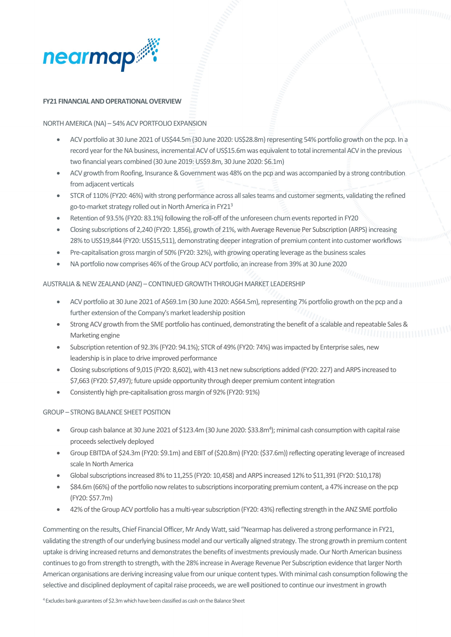

## **FY21 FINANCIAL AND OPERATIONAL OVERVIEW**

## NORTH AMERICA (NA) – 54% ACV PORTFOLIO EXPANSION

- ACV portfolio at 30 June 2021 of US\$44.5m (30 June 2020: US\$28.8m) representing 54% portfolio growth on the pcp. In a record year for the NA business, incremental ACV of US\$15.6m was equivalent to total incremental ACV in the previous two financial years combined (30 June 2019: US\$9.8m, 30 June 2020: \$6.1m)
- ACV growth from Roofing, Insurance & Government was 48% on the pcp and was accompanied by a strong contribution from adjacent verticals
- STCR of 110% (FY20: 46%) with strong performance across all sales teams and customer segments, validating the refined go-to-market strategy rolled out in North America in FY213
- Retention of 93.5% (FY20: 83.1%) following the roll-off of the unforeseen churn events reported in FY20
- Closing subscriptions of 2,240 (FY20: 1,856), growth of 21%, with Average Revenue Per Subscription (ARPS) increasing 28% to US\$19,844 (FY20: US\$15,511), demonstrating deeper integration of premium content into customer workflows
- Pre-capitalisation gross margin of 50% (FY20: 32%), with growing operating leverage as the business scales
- NA portfolio now comprises 46% of the Group ACV portfolio, an increase from 39% at 30 June 2020

AUSTRALIA & NEW ZEALAND (ANZ) – CONTINUED GROWTH THROUGH MARKET LEADERSHIP

- ACV portfolio at 30 June 2021 of A\$69.1m (30 June 2020: A\$64.5m), representing 7% portfolio growth on the pcp and a further extension of the Company's market leadership position
- Strong ACV growth from the SME portfolio has continued, demonstrating the benefit of a scalable and repeatable Sales & Marketing engine
- Subscription retention of 92.3% (FY20: 94.1%); STCR of 49% (FY20: 74%) was impacted by Enterprise sales, new leadership is in place to drive improved performance
- Closing subscriptions of 9,015 (FY20: 8,602), with 413 net new subscriptions added (FY20: 227) and ARPS increased to \$7,663 (FY20: \$7,497); future upside opportunity through deeper premium content integration
- Consistently high pre-capitalisation gross margin of 92% (FY20: 91%)

## GROUP – STRONG BALANCE SHEET POSITION

- Group cash balance at 30 June 2021 of \$123.4m (30 June 2020: \$33.8m<sup>4</sup>); minimal cash consumption with capital raise proceeds selectively deployed
- Group EBITDA of \$24.3m (FY20: \$9.1m) and EBIT of (\$20.8m) (FY20: (\$37.6m)) reflecting operating leverage of increased scale In North America
- Global subscriptions increased 8% to 11,255 (FY20: 10,458) and ARPS increased 12% to \$11,391 (FY20: \$10,178)
- \$84.6m (66%) of the portfolio now relates to subscriptions incorporating premium content, a 47% increase on the pcp (FY20: \$57.7m)
- 42% of the Group ACV portfolio has a multi-year subscription (FY20: 43%) reflecting strength in the ANZ SME portfolio

Commenting on the results, Chief Financial Officer, Mr Andy Watt, said "Nearmap has delivered a strong performance in FY21, validating the strength of our underlying business model and our vertically aligned strategy. The strong growth in premium content uptake is driving increased returns and demonstrates the benefits of investments previously made. Our North American business continues to go from strength to strength, with the 28% increase in Average Revenue Per Subscription evidence that larger North American organisations are deriving increasing value from our unique content types. With minimal cash consumption following the selective and disciplined deployment of capital raise proceeds, we are well positioned to continue our investment in growth